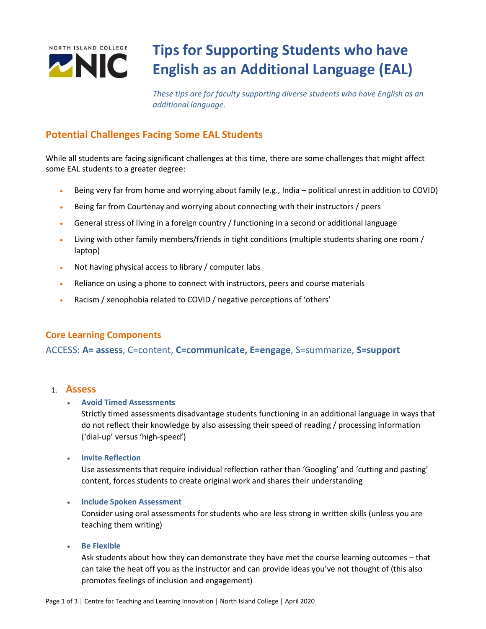### NORTH ISLAND COLLEGE **Tips for Supporting Students who have ZNIC English as an Additional Language (EAL)**

*These tips are for faculty supporting diverse students who have English as an additional language.* 

# **Potential Challenges Facing Some EAL Students**

While all students are facing significant challenges at this time, there are some challenges that might affect some EAL students to a greater degree:

- Being very far from home and worrying about family (e.g., India political unrest in addition to COVID)
- Being far from Courtenay and worrying about connecting with their instructors / peers
- General stress of living in a foreign country / functioning in a second or additional language
- Living with other family members/friends in tight conditions (multiple students sharing one room / laptop)
- Not having physical access to library / computer labs
- Reliance on using a phone to connect with instructors, peers and course materials
- Racism / xenophobia related to COVID / negative perceptions of 'others'

# **Core Learning Components**

ACCESS: **A= assess**, C=content, **C=communicate, E=engage**, S=summarize, **S=support** 

# 1. **Assess**

# • **Avoid Timed Assessments**

Strictly timed assessments disadvantage students functioning in an additional language in ways that do not reflect their knowledge by also assessing their speed of reading / processing information ('dial-up' versus 'high-speed')

# • **Invite Reflection**

Use assessments that require individual reflection rather than 'Googling' and 'cutting and pasting' content, forces students to create original work and shares their understanding

# • **Include Spoken Assessment**

Consider using oral assessments for students who are less strong in written skills (unless you are teaching them writing)

• **Be Flexible**

Ask students about how they can demonstrate they have met the course learning outcomes – that can take the heat off you as the instructor and can provide ideas you've not thought of (this also promotes feelings of inclusion and engagement)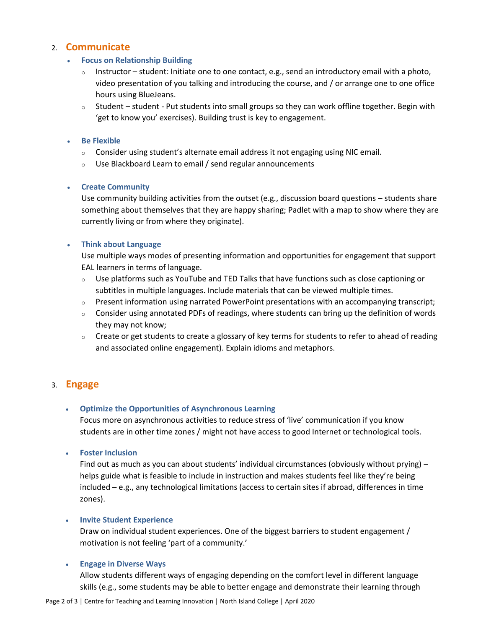# 2. **Communicate**

### • **Focus on Relationship Building**

- $\circ$  Instructor student: Initiate one to one contact, e.g., send an introductory email with a photo, video presentation of you talking and introducing the course, and / or arrange one to one office hours using BlueJeans.
- $\circ$  Student student Put students into small groups so they can work offline together. Begin with 'get to know you' exercises). Building trust is key to engagement.

### • **Be Flexible**

- $\circ$  Consider using student's alternate email address it not engaging using NIC email.
- o Use Blackboard Learn to email / send regular announcements

### • **Create Community**

Use community building activities from the outset (e.g., discussion board questions – students share something about themselves that they are happy sharing; Padlet with a map to show where they are currently living or from where they originate).

### • **Think about Language**

Use multiple ways modes of presenting information and opportunities for engagement that support EAL learners in terms of language.

- $\circ$  Use platforms such as YouTube and TED Talks that have functions such as close captioning or subtitles in multiple languages. Include materials that can be viewed multiple times.
- $\circ$  Present information using narrated PowerPoint presentations with an accompanying transcript;
- $\circ$  Consider using annotated PDFs of readings, where students can bring up the definition of words they may not know;
- $\circ$  Create or get students to create a glossary of key terms for students to refer to ahead of reading and associated online engagement). Explain idioms and metaphors.

# 3. **Engage**

### • **Optimize the Opportunities of Asynchronous Learning**

Focus more on asynchronous activities to reduce stress of 'live' communication if you know students are in other time zones / might not have access to good Internet or technological tools.

### • **Foster Inclusion**

Find out as much as you can about students' individual circumstances (obviously without prying) – helps guide what is feasible to include in instruction and makes students feel like they're being included – e.g., any technological limitations (access to certain sites if abroad, differences in time zones).

### • **Invite Student Experience**

Draw on individual student experiences. One of the biggest barriers to student engagement / motivation is not feeling 'part of a community.'

### • **Engage in Diverse Ways**

Allow students different ways of engaging depending on the comfort level in different language skills (e.g., some students may be able to better engage and demonstrate their learning through